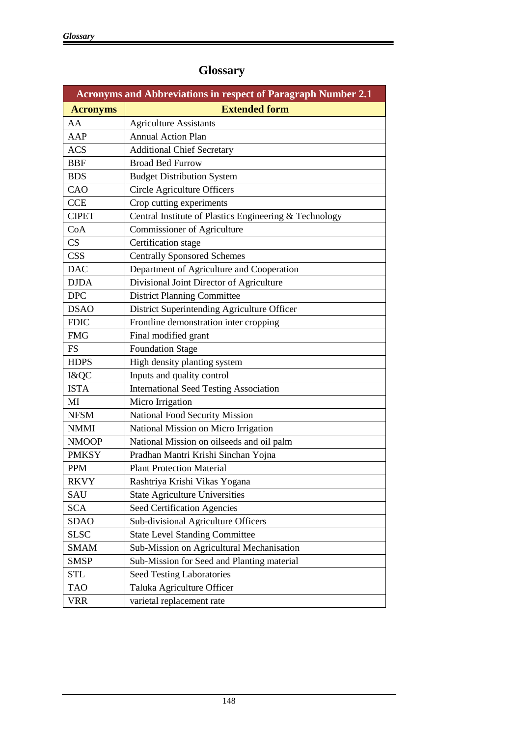| <b>Acronyms and Abbreviations in respect of Paragraph Number 2.1</b> |                                                        |
|----------------------------------------------------------------------|--------------------------------------------------------|
| <b>Acronyms</b>                                                      | <b>Extended form</b>                                   |
| AA                                                                   | <b>Agriculture Assistants</b>                          |
| AAP                                                                  | <b>Annual Action Plan</b>                              |
| <b>ACS</b>                                                           | <b>Additional Chief Secretary</b>                      |
| <b>BBF</b>                                                           | <b>Broad Bed Furrow</b>                                |
| <b>BDS</b>                                                           | <b>Budget Distribution System</b>                      |
| CAO                                                                  | Circle Agriculture Officers                            |
| <b>CCE</b>                                                           | Crop cutting experiments                               |
| <b>CIPET</b>                                                         | Central Institute of Plastics Engineering & Technology |
| CoA                                                                  | Commissioner of Agriculture                            |
| CS                                                                   | Certification stage                                    |
| <b>CSS</b>                                                           | <b>Centrally Sponsored Schemes</b>                     |
| <b>DAC</b>                                                           | Department of Agriculture and Cooperation              |
| <b>DJDA</b>                                                          | Divisional Joint Director of Agriculture               |
| <b>DPC</b>                                                           | <b>District Planning Committee</b>                     |
| <b>DSAO</b>                                                          | District Superintending Agriculture Officer            |
| <b>FDIC</b>                                                          | Frontline demonstration inter cropping                 |
| <b>FMG</b>                                                           | Final modified grant                                   |
| <b>FS</b>                                                            | <b>Foundation Stage</b>                                |
| <b>HDPS</b>                                                          | High density planting system                           |
| I&QC                                                                 | Inputs and quality control                             |
| <b>ISTA</b>                                                          | <b>International Seed Testing Association</b>          |
| MI                                                                   | Micro Irrigation                                       |
| <b>NFSM</b>                                                          | <b>National Food Security Mission</b>                  |
| <b>NMMI</b>                                                          | National Mission on Micro Irrigation                   |
| <b>NMOOP</b>                                                         | National Mission on oilseeds and oil palm              |
| <b>PMKSY</b>                                                         | Pradhan Mantri Krishi Sinchan Yojna                    |
| <b>PPM</b>                                                           | <b>Plant Protection Material</b>                       |
| <b>RKVY</b>                                                          | Rashtriya Krishi Vikas Yogana                          |
| SAU                                                                  | <b>State Agriculture Universities</b>                  |
| <b>SCA</b>                                                           | Seed Certification Agencies                            |
| <b>SDAO</b>                                                          | Sub-divisional Agriculture Officers                    |
| <b>SLSC</b>                                                          | <b>State Level Standing Committee</b>                  |
| <b>SMAM</b>                                                          | Sub-Mission on Agricultural Mechanisation              |
| <b>SMSP</b>                                                          | Sub-Mission for Seed and Planting material             |
| <b>STL</b>                                                           | Seed Testing Laboratories                              |
| <b>TAO</b>                                                           | Taluka Agriculture Officer                             |
| <b>VRR</b>                                                           | varietal replacement rate                              |

## **Glossary**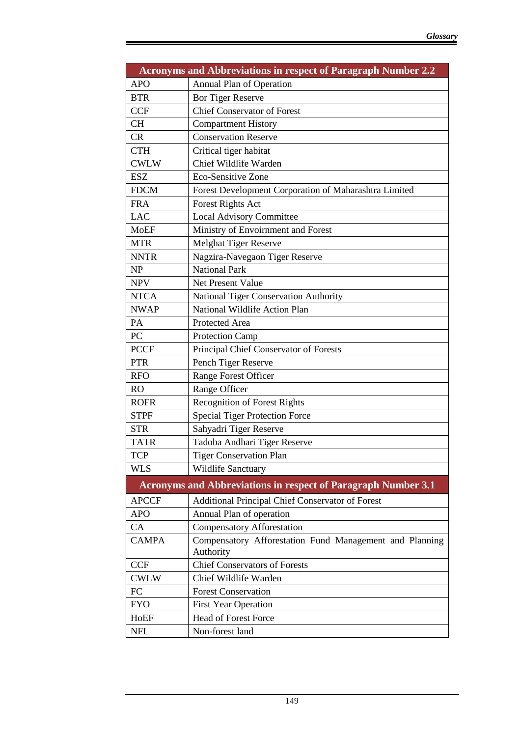|              | <b>Acronyms and Abbreviations in respect of Paragraph Number 2.2</b> |
|--------------|----------------------------------------------------------------------|
| <b>APO</b>   | Annual Plan of Operation                                             |
| <b>BTR</b>   | <b>Bor Tiger Reserve</b>                                             |
| <b>CCF</b>   | <b>Chief Conservator of Forest</b>                                   |
| <b>CH</b>    | <b>Compartment History</b>                                           |
| CR           | <b>Conservation Reserve</b>                                          |
| <b>CTH</b>   | Critical tiger habitat                                               |
| <b>CWLW</b>  | Chief Wildlife Warden                                                |
| <b>ESZ</b>   | Eco-Sensitive Zone                                                   |
| <b>FDCM</b>  | Forest Development Corporation of Maharashtra Limited                |
| <b>FRA</b>   | <b>Forest Rights Act</b>                                             |
| <b>LAC</b>   | <b>Local Advisory Committee</b>                                      |
| <b>MoEF</b>  | Ministry of Envoirnment and Forest                                   |
| <b>MTR</b>   | <b>Melghat Tiger Reserve</b>                                         |
| <b>NNTR</b>  | Nagzira-Navegaon Tiger Reserve                                       |
| NP           | <b>National Park</b>                                                 |
| <b>NPV</b>   | Net Present Value                                                    |
| <b>NTCA</b>  | National Tiger Conservation Authority                                |
| <b>NWAP</b>  | National Wildlife Action Plan                                        |
| PA           | Protected Area                                                       |
| PC           | <b>Protection Camp</b>                                               |
| <b>PCCF</b>  | Principal Chief Conservator of Forests                               |
| <b>PTR</b>   | Pench Tiger Reserve                                                  |
| <b>RFO</b>   | Range Forest Officer                                                 |
| <b>RO</b>    | Range Officer                                                        |
| <b>ROFR</b>  | <b>Recognition of Forest Rights</b>                                  |
| <b>STPF</b>  | <b>Special Tiger Protection Force</b>                                |
| <b>STR</b>   | Sahyadri Tiger Reserve                                               |
| <b>TATR</b>  | Tadoba Andhari Tiger Reserve                                         |
| <b>TCP</b>   | <b>Tiger Conservation Plan</b>                                       |
| <b>WLS</b>   | <b>Wildlife Sanctuary</b>                                            |
|              | <b>Acronyms and Abbreviations in respect of Paragraph Number 3.1</b> |
| <b>APCCF</b> | Additional Principal Chief Conservator of Forest                     |
| <b>APO</b>   | Annual Plan of operation                                             |
| CA           | <b>Compensatory Afforestation</b>                                    |
| <b>CAMPA</b> | Compensatory Afforestation Fund Management and Planning<br>Authority |
| <b>CCF</b>   | <b>Chief Conservators of Forests</b>                                 |
| <b>CWLW</b>  | Chief Wildlife Warden                                                |
| FC           | <b>Forest Conservation</b>                                           |
| <b>FYO</b>   | <b>First Year Operation</b>                                          |
| HoEF         | <b>Head of Forest Force</b>                                          |
| <b>NFL</b>   | Non-forest land                                                      |